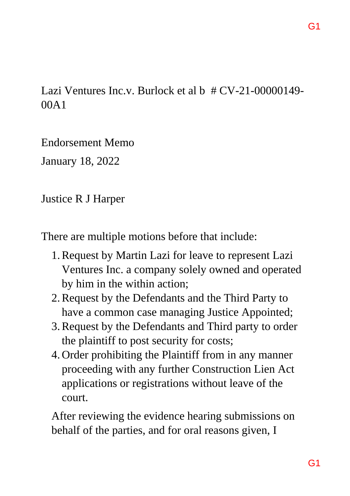# Lazi Ventures Inc.v. Burlock et al b  $\#$  CV-21-00000149-00A1

Endorsement Memo

January 18, 2022

Justice R J Harper

There are multiple motions before that include:

- 1.Request by Martin Lazi for leave to represent Lazi Ventures Inc. a company solely owned and operated by him in the within action;
- 2.Request by the Defendants and the Third Party to have a common case managing Justice Appointed;
- 3.Request by the Defendants and Third party to order the plaintiff to post security for costs;
- 4. Order prohibiting the Plaintiff from in any manner proceeding with any further Construction Lien Act applications or registrations without leave of the court.

After reviewing the evidence hearing submissions on behalf of the parties, and for oral reasons given, I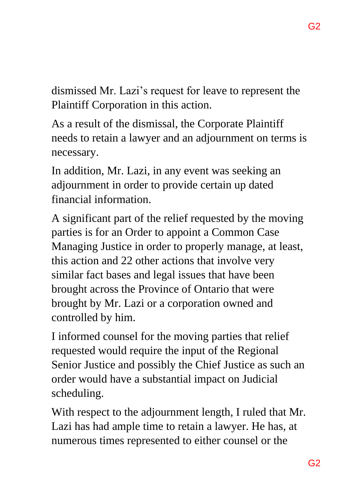dismissed Mr. Lazi's request for leave to represent the Plaintiff Corporation in this action.

As a result of the dismissal, the Corporate Plaintiff needs to retain a lawyer and an adjournment on terms is necessary.

In addition, Mr. Lazi, in any event was seeking an adjournment in order to provide certain up dated financial information.

A significant part of the relief requested by the moving parties is for an Order to appoint a Common Case Managing Justice in order to properly manage, at least, this action and 22 other actions that involve very similar fact bases and legal issues that have been brought across the Province of Ontario that were brought by Mr. Lazi or a corporation owned and controlled by him.

I informed counsel for the moving parties that relief requested would require the input of the Regional Senior Justice and possibly the Chief Justice as such an order would have a substantial impact on Judicial scheduling.

With respect to the adjournment length, I ruled that Mr. Lazi has had ample time to retain a lawyer. He has, at numerous times represented to either counsel or the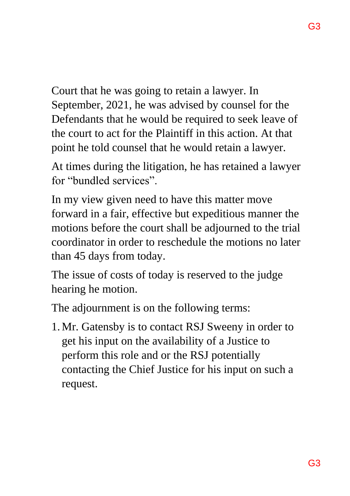Court that he was going to retain a lawyer. In September, 2021, he was advised by counsel for the Defendants that he would be required to seek leave of the court to act for the Plaintiff in this action. At that point he told counsel that he would retain a lawyer.

At times during the litigation, he has retained a lawyer for "bundled services".

In my view given need to have this matter move forward in a fair, effective but expeditious manner the motions before the court shall be adjourned to the trial coordinator in order to reschedule the motions no later than 45 days from today.

The issue of costs of today is reserved to the judge hearing he motion.

The adjournment is on the following terms:

1.Mr. Gatensby is to contact RSJ Sweeny in order to get his input on the availability of a Justice to perform this role and or the RSJ potentially contacting the Chief Justice for his input on such a request.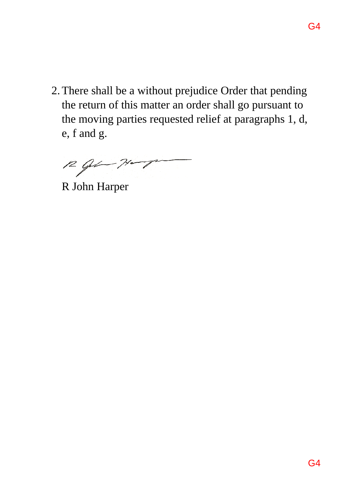2.There shall be a without prejudice Order that pending the return of this matter an order shall go pursuant to the moving parties requested relief at paragraphs 1, d, e, f and g.

 $12$  Gebt Harp

R John Harper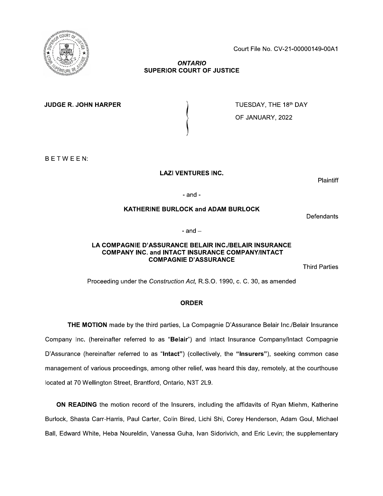Court File No. CV-21-00000149-00A1

### **ONTARIO SUPERIOR COURT OF JUSTICE**

**JUDGE R. JOHN HARPER** 

TUESDAY, THE 18th DAY OF JANUARY, 2022

BETWEEN:

**LAZI VENTURES INC.** 

**Plaintiff** 

 $-$ and $-$ 

## **KATHERINE BURLOCK and ADAM BURLOCK**

Defendants

 $-$  and  $-$ 

#### LA COMPAGNIE D'ASSURANCE BELAIR INC./BELAIR INSURANCE **COMPANY INC. and INTACT INSURANCE COMPANY/INTACT COMPAGNIE D'ASSURANCE**

**Third Parties** 

Proceeding under the Construction Act, R.S.O. 1990, c. C. 30, as amended

## **ORDER**

THE MOTION made by the third parties, La Compagnie D'Assurance Belair Inc./Belair Insurance Company Inc. (hereinafter referred to as "Belair") and Intact Insurance Company/Intact Compagnie D'Assurance (hereinafter referred to as "Intact") (collectively, the "Insurers"), seeking common case management of various proceedings, among other relief, was heard this day, remotely, at the courthouse located at 70 Wellington Street, Brantford, Ontario, N3T 2L9.

ON READING the motion record of the Insurers, including the affidavits of Ryan Miehm, Katherine Burlock, Shasta Carr-Harris, Paul Carter, Colin Bired, Lichi Shi, Corey Henderson, Adam Goul, Michael Ball, Edward White, Heba Noureldin, Vanessa Guha, Ivan Sidorivich, and Eric Levin; the supplementary

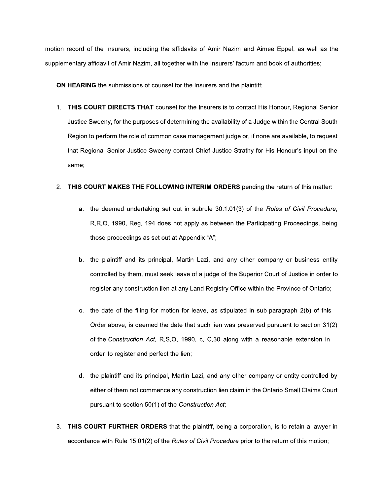motion record of the Insurers, including the affidavits of Amir Nazim and Aimee Eppel, as well as the supplementary affidavit of Amir Nazim, all together with the Insurers' factum and book of authorities;

ON HEARING the submissions of counsel for the Insurers and the plaintiff;

1. THIS COURT DIRECTS THAT counsel for the Insurers is to contact His Honour, Regional Senior Justice Sweeny, for the purposes of determining the availability of a Judge within the Central South Region to perform the role of common case management judge or, if none are available, to request that Regional Senior Justice Sweeny contact Chief Justice Strathy for His Honour's input on the same;

#### 2. THIS COURT MAKES THE FOLLOWING INTERIM ORDERS pending the return of this matter:

- a. the deemed undertaking set out in subrule 30.1.01(3) of the Rules of Civil Procedure, R.R.O. 1990, Reg. 194 does not apply as between the Participating Proceedings, being those proceedings as set out at Appendix "A";
- the plaintiff and its principal, Martin Lazi, and any other company or business entity  $\mathbf b$ . controlled by them, must seek leave of a judge of the Superior Court of Justice in order to register any construction lien at any Land Registry Office within the Province of Ontario;
- c. the date of the filing for motion for leave, as stipulated in sub-paragraph 2(b) of this Order above, is deemed the date that such lien was preserved pursuant to section 31(2) of the Construction Act, R.S.O. 1990, c. C.30 along with a reasonable extension in order to register and perfect the lien;
- d. the plaintiff and its principal, Martin Lazi, and any other company or entity controlled by either of them not commence any construction lien claim in the Ontario Small Claims Court pursuant to section 50(1) of the Construction Act;
- 3. THIS COURT FURTHER ORDERS that the plaintiff, being a corporation, is to retain a lawyer in accordance with Rule 15.01(2) of the Rules of Civil Procedure prior to the return of this motion;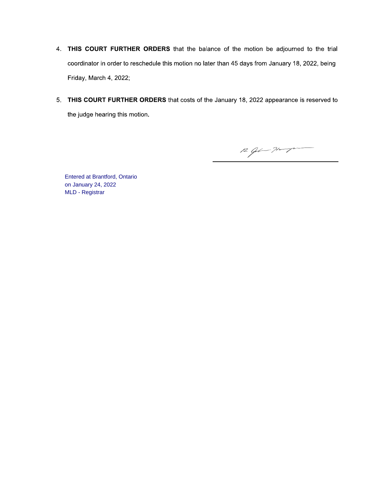- 4. THIS COURT FURTHER ORDERS that the balance of the motion be adjourned to the trial coordinator in order to reschedule this motion no later than 45 days from January 18, 2022, being Friday, March 4, 2022;
- 5. THIS COURT FURTHER ORDERS that costs of the January 18, 2022 appearance is reserved to the judge hearing this motion.

 $R$  of  $\rightarrow$ 

**Entered at Brantford, Ontario** on January 24, 2022 MLD - Registrar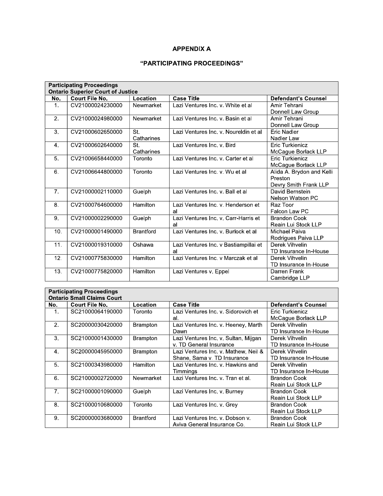### **APPENDIX A**

# "PARTICIPATING PROCEEDINGS"

|                 | <b>Participating Proceedings</b>         |                  |                                       |                            |
|-----------------|------------------------------------------|------------------|---------------------------------------|----------------------------|
|                 | <b>Ontario Superior Court of Justice</b> |                  |                                       |                            |
| No.             | <b>Court File No.</b>                    | Location         | <b>Case Title</b>                     | <b>Defendant's Counsel</b> |
| 1.              | CV21000024230000                         | Newmarket        | Lazi Ventures Inc. v. White et al     | Amir Tehrani               |
|                 |                                          |                  |                                       | Donnell Law Group          |
| 2 <sup>2</sup>  | CV21000024980000                         | Newmarket        | Lazi Ventures Inc. v. Basin et al     | Amir Tehrani               |
|                 |                                          |                  |                                       | Donnell Law Group          |
| 3.              | CV21000602650000                         | St.              | Lazi Ventures Inc. v. Noureldin et al | Eric Nadler                |
|                 |                                          | Catharines       |                                       | Nadler Law                 |
| 4.              | CV21000602640000                         | St.              | Lazi Ventures Inc. v. Bird            | Eric Turkienicz            |
|                 |                                          | Catharines       |                                       | McCague Borlack LLP        |
| 5 <sub>1</sub>  | CV21006658440000                         | Toronto          | Lazi Ventures Inc. v. Carter et al    | <b>Eric Turkienicz</b>     |
|                 |                                          |                  |                                       | McCague Borlack LLP        |
| 6.              | CV21006644800000                         | Toronto          | Lazi Ventures Inc. v. Wu et al        | Alida A. Brydon and Kelli  |
|                 |                                          |                  |                                       | Preston                    |
|                 |                                          |                  |                                       | Devry Smith Frank LLP      |
| 7 <sub>1</sub>  | CV21000002110000                         | Guelph           | Lazi Ventures Inc. v. Ball et al      | David Bernstein            |
|                 |                                          |                  |                                       | Nelson Watson PC           |
| 8.              | CV21000764600000                         | Hamilton         | Lazi Ventures Inc. v. Henderson et    | Raz Toor                   |
|                 |                                          |                  | al                                    | Falcon Law PC              |
| 9.              | CV21000002290000                         | Guelph           | Lazi Ventures Inc. v. Carr-Harris et  | <b>Brandon Cook</b>        |
|                 |                                          |                  | al                                    | Reain Lui Stock LLP        |
| 10.             | CV21000001490000                         | <b>Brantford</b> | Lazi Ventures Inc. v. Burlock et al.  | Michael Paiva              |
|                 |                                          |                  |                                       | Rodrigues Paiva LLP        |
| 11.             | CV21000019310000                         | Oshawa           | Lazi Ventures Inc. v Bastiampillai et | Derek Vihvelin             |
|                 |                                          |                  | al                                    | TD Insurance In-House      |
| 12.             | CV21000775830000                         | Hamilton         | Lazi Ventures Inc. v Marczak et al.   | Derek Vihvelin             |
|                 |                                          |                  |                                       | TD Insurance In-House      |
| 13 <sub>1</sub> | CV21000775820000                         | Hamilton         | Lazi Ventures v. Eppel                | Darren Frank               |
|                 |                                          |                  |                                       | Cambridge LLP              |

|                | <b>Participating Proceedings</b><br><b>Ontario Small Claims Court</b> |                  |                                      |                            |
|----------------|-----------------------------------------------------------------------|------------------|--------------------------------------|----------------------------|
| No.            | <b>Court File No.</b>                                                 | Location         | <b>Case Title</b>                    | <b>Defendant's Counsel</b> |
| 1.             | SC21000064190000                                                      | Toronto          | Lazi Ventures Inc. v. Sidorovich et  | Eric Turkienicz            |
|                |                                                                       |                  | al.                                  | McCague Borlack LLP        |
| 2 <sub>1</sub> | SC20000030420000                                                      | <b>Brampton</b>  | Lazi Ventures Inc v Heeney, Marth    | Derek Vihvelin             |
|                |                                                                       |                  | Dawn                                 | TD Insurance In-House      |
| 3 <sub>z</sub> | SC21000001430000                                                      | <b>Brampton</b>  | Lazi Ventures Inc. v. Sultan, Mijgan | Derek Vihvelin             |
|                |                                                                       |                  | v. TD General Insurance              | TD Insurance In-House      |
| 4.             | SC20000045950000                                                      | <b>Brampton</b>  | Lazi Ventures Inc. v. Mathew, Neil & | Derek Vihvelin             |
|                |                                                                       |                  | Shane, Sama v TD Insurance           | TD Insurance In-House      |
| 5.             | SC21000343980000                                                      | Hamilton         | Lazi Ventures Inc. v. Hawkins and    | Derek Vihvelin             |
|                |                                                                       |                  | Timminas                             | TD Insurance In-House      |
| 6.             | SC21000002720000                                                      | Newmarket        | Lazi Ventures Inc. v. Tran et al.    | <b>Brandon Cook</b>        |
|                |                                                                       |                  |                                      | Reain Lui Stock LLP        |
| 7 <sup>1</sup> | SC21000001090000                                                      | Guelph           | Lazi Ventures Inc. v. Burney         | <b>Brandon Cook</b>        |
|                |                                                                       |                  |                                      | Reain Lui Stock LLP        |
| 8.             | SC21000010680000                                                      | Toronto          | Lazi Ventures Inc. v. Grey           | <b>Brandon Cook</b>        |
|                |                                                                       |                  |                                      | Reain Lui Stock LLP        |
| 9.             | SC20000003680000                                                      | <b>Brantford</b> | Lazi Ventures Inc. v. Dobson v.      | <b>Brandon Cook</b>        |
|                |                                                                       |                  | Aviva General Insurance Co.          | Reain Lui Stock LLP        |